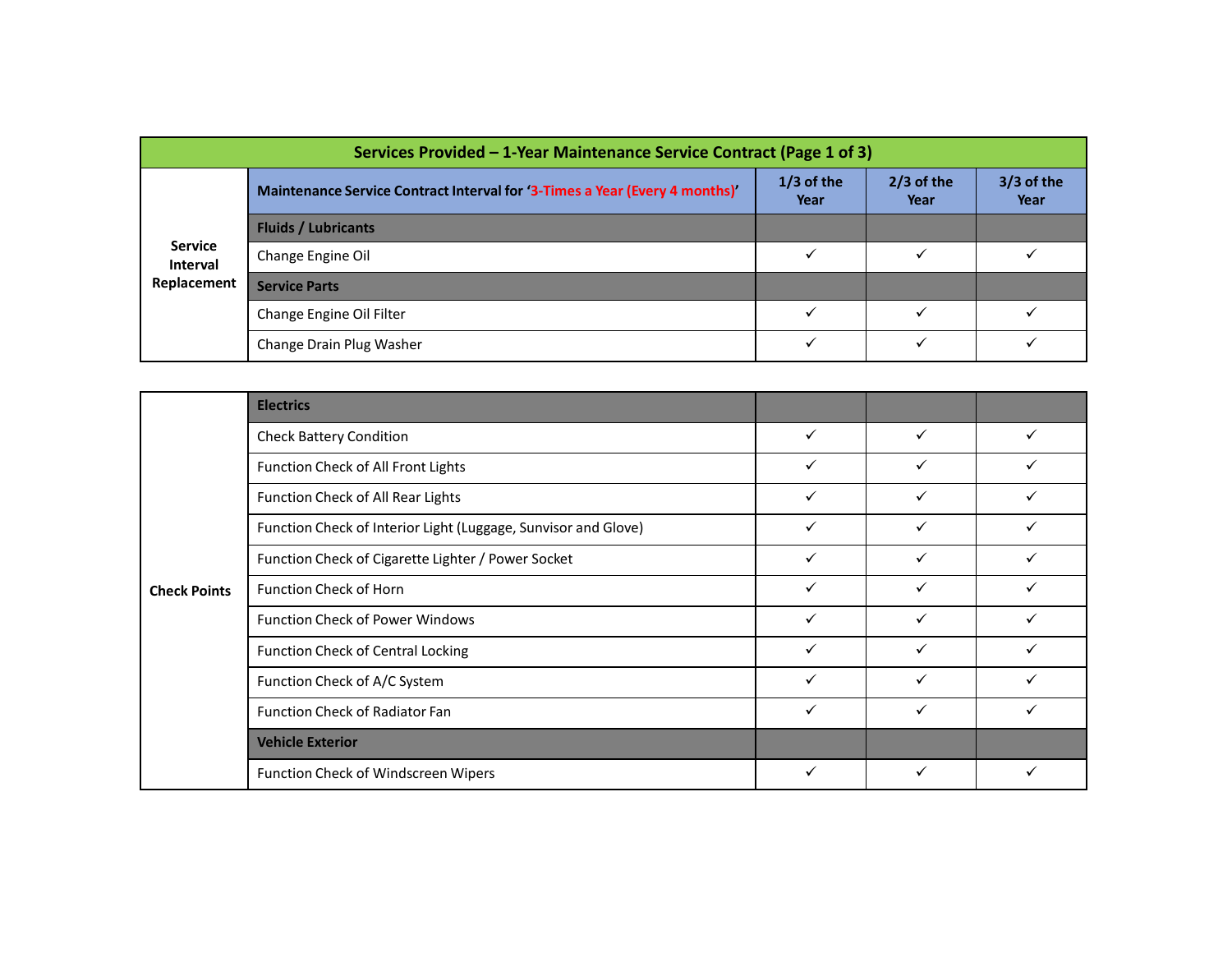|                                   | Services Provided - 1-Year Maintenance Service Contract (Page 1 of 3)       |                      |                      |                    |
|-----------------------------------|-----------------------------------------------------------------------------|----------------------|----------------------|--------------------|
|                                   | Maintenance Service Contract Interval for '3-Times a Year (Every 4 months)' | $1/3$ of the<br>Year | $2/3$ of the<br>Year | 3/3 of the<br>Year |
|                                   | <b>Fluids / Lubricants</b>                                                  |                      |                      |                    |
| <b>Service</b><br><b>Interval</b> | Change Engine Oil                                                           | $\checkmark$         | $\checkmark$         | $\checkmark$       |
| Replacement                       | <b>Service Parts</b>                                                        |                      |                      |                    |
|                                   | Change Engine Oil Filter                                                    | $\checkmark$         | $\checkmark$         | $\checkmark$       |
|                                   | Change Drain Plug Washer                                                    | $\checkmark$         | $\checkmark$         | $\checkmark$       |
|                                   |                                                                             |                      |                      |                    |
|                                   | <b>Electrics</b>                                                            |                      |                      |                    |
|                                   | <b>Check Battery Condition</b>                                              | $\checkmark$         | $\checkmark$         | $\checkmark$       |
|                                   | Function Check of All Front Lights                                          | $\checkmark$         | $\checkmark$         | $\checkmark$       |
|                                   | Function Check of All Rear Lights                                           | $\checkmark$         | $\checkmark$         | $\checkmark$       |
|                                   | Function Check of Interior Light (Luggage, Sunvisor and Glove)              | $\checkmark$         | $\checkmark$         | $\checkmark$       |
|                                   |                                                                             | $\checkmark$         | $\checkmark$         | $\checkmark$       |
|                                   | Function Check of Cigarette Lighter / Power Socket                          |                      |                      |                    |

|                                                  | Maintenance Service Contract Interval for '3-Times a Year (Every 4 months)' | $1/3$ of the<br>Year | $2/3$ of the<br>Year | $3/3$ of the<br>Year |
|--------------------------------------------------|-----------------------------------------------------------------------------|----------------------|----------------------|----------------------|
| <b>Service</b><br><b>Interval</b><br>Replacement | <b>Fluids / Lubricants</b>                                                  |                      |                      |                      |
|                                                  | Change Engine Oil                                                           | $\checkmark$         | $\checkmark$         | $\checkmark$         |
|                                                  | <b>Service Parts</b>                                                        |                      |                      |                      |
|                                                  | Change Engine Oil Filter                                                    | $\checkmark$         | $\checkmark$         | $\checkmark$         |
|                                                  | Change Drain Plug Washer                                                    | $\checkmark$         | $\checkmark$         | $\checkmark$         |
|                                                  |                                                                             |                      |                      |                      |
|                                                  | <b>Electrics</b>                                                            |                      |                      |                      |
| <b>Check Points</b>                              | <b>Check Battery Condition</b>                                              | $\checkmark$         | $\checkmark$         | $\checkmark$         |
|                                                  | Function Check of All Front Lights                                          | $\checkmark$         | $\checkmark$         | $\checkmark$         |
|                                                  | Function Check of All Rear Lights                                           | $\checkmark$         | $\checkmark$         | $\checkmark$         |
|                                                  | Function Check of Interior Light (Luggage, Sunvisor and Glove)              | $\checkmark$         | $\checkmark$         | $\checkmark$         |
|                                                  | Function Check of Cigarette Lighter / Power Socket                          | $\checkmark$         | $\checkmark$         | $\checkmark$         |
|                                                  | Function Check of Horn                                                      | $\checkmark$         | $\checkmark$         | $\checkmark$         |
|                                                  | Function Check of Power Windows                                             | $\checkmark$         | $\checkmark$         | $\checkmark$         |
|                                                  | <b>Function Check of Central Locking</b>                                    | $\checkmark$         | $\checkmark$         | $\checkmark$         |
|                                                  | Function Check of A/C System                                                | $\checkmark$         | $\checkmark$         | $\checkmark$         |
|                                                  | Function Check of Radiator Fan                                              | $\checkmark$         | $\checkmark$         | $\checkmark$         |
|                                                  | <b>Vehicle Exterior</b>                                                     |                      |                      |                      |
|                                                  | Function Check of Windscreen Wipers                                         | $\checkmark$         | $\checkmark$         | $\checkmark$         |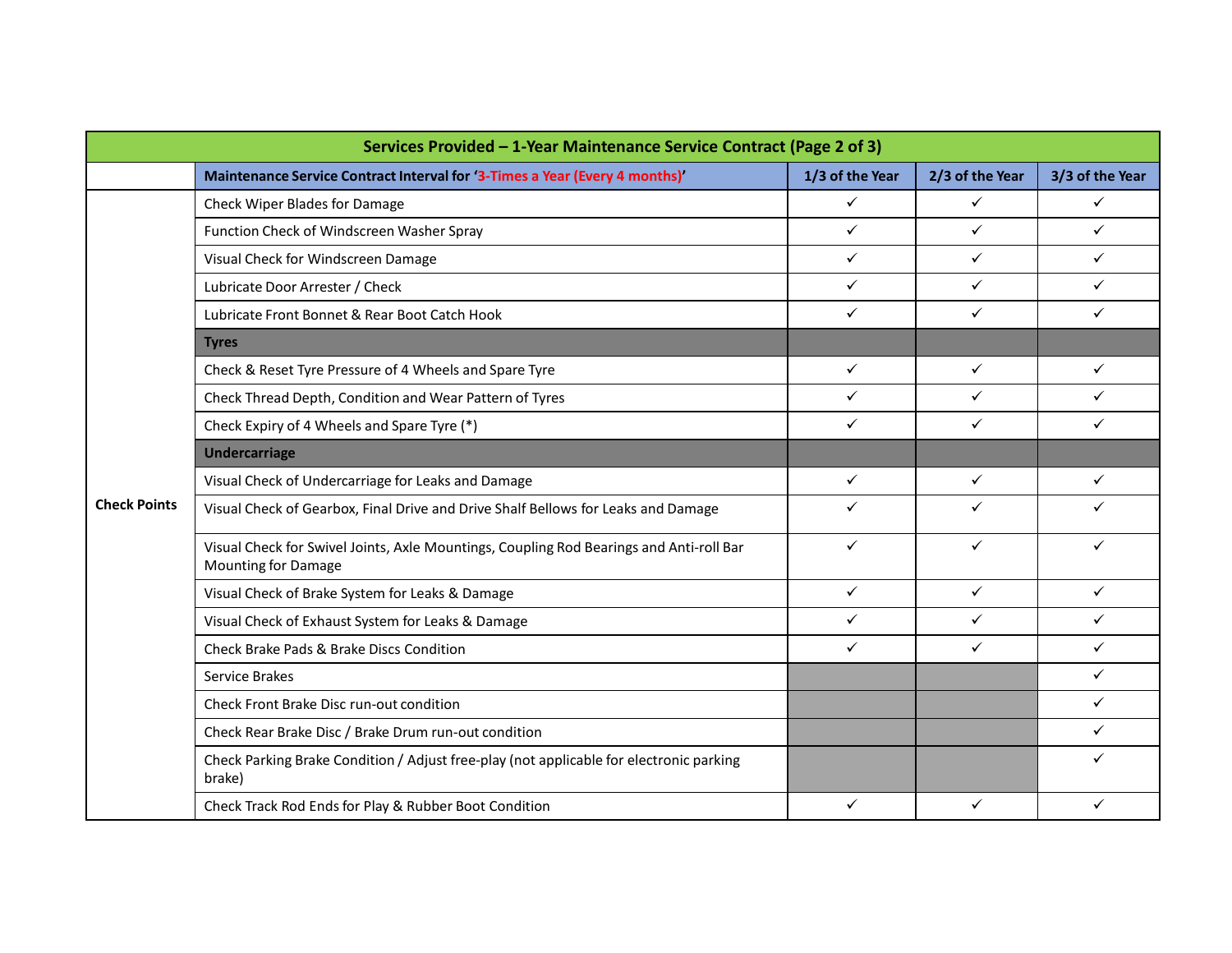|                     | Services Provided - 1-Year Maintenance Service Contract (Page 2 of 3)                                          |                 |                 |                 |
|---------------------|----------------------------------------------------------------------------------------------------------------|-----------------|-----------------|-----------------|
|                     | Maintenance Service Contract Interval for '3-Times a Year (Every 4 months)'                                    | 1/3 of the Year | 2/3 of the Year | 3/3 of the Year |
|                     | Check Wiper Blades for Damage                                                                                  | $\checkmark$    | $\checkmark$    | $\checkmark$    |
|                     | Function Check of Windscreen Washer Spray                                                                      | $\checkmark$    | $\checkmark$    | $\checkmark$    |
|                     | Visual Check for Windscreen Damage                                                                             | $\checkmark$    | $\checkmark$    | $\checkmark$    |
|                     | Lubricate Door Arrester / Check                                                                                | $\checkmark$    | $\checkmark$    | $\checkmark$    |
|                     | Lubricate Front Bonnet & Rear Boot Catch Hook                                                                  | $\checkmark$    | $\checkmark$    | $\checkmark$    |
|                     | <b>Tyres</b>                                                                                                   |                 |                 |                 |
|                     | Check & Reset Tyre Pressure of 4 Wheels and Spare Tyre                                                         | $\checkmark$    | $\checkmark$    | $\checkmark$    |
|                     | Check Thread Depth, Condition and Wear Pattern of Tyres                                                        | $\checkmark$    | $\checkmark$    | $\checkmark$    |
|                     | Check Expiry of 4 Wheels and Spare Tyre (*)                                                                    | $\checkmark$    | $\checkmark$    | $\checkmark$    |
|                     | <b>Undercarriage</b>                                                                                           |                 |                 |                 |
|                     | Visual Check of Undercarriage for Leaks and Damage                                                             | $\checkmark$    | $\checkmark$    | $\checkmark$    |
| <b>Check Points</b> | Visual Check of Gearbox, Final Drive and Drive Shalf Bellows for Leaks and Damage                              | $\checkmark$    | $\checkmark$    | ✓               |
|                     | Visual Check for Swivel Joints, Axle Mountings, Coupling Rod Bearings and Anti-roll Bar<br>Mounting for Damage | $\checkmark$    | $\checkmark$    | $\checkmark$    |
|                     | Visual Check of Brake System for Leaks & Damage                                                                | $\checkmark$    | $\checkmark$    | $\checkmark$    |
|                     | Visual Check of Exhaust System for Leaks & Damage                                                              | $\checkmark$    | $\checkmark$    | $\checkmark$    |
|                     | Check Brake Pads & Brake Discs Condition                                                                       | $\checkmark$    | $\checkmark$    | $\checkmark$    |
|                     | Service Brakes                                                                                                 |                 |                 | $\checkmark$    |
|                     | Check Front Brake Disc run-out condition                                                                       |                 |                 | $\checkmark$    |
|                     | Check Rear Brake Disc / Brake Drum run-out condition                                                           |                 |                 | $\checkmark$    |
|                     | Check Parking Brake Condition / Adjust free-play (not applicable for electronic parking<br>brake)              |                 |                 | ✓               |
|                     | Check Track Rod Ends for Play & Rubber Boot Condition                                                          | $\checkmark$    | $\checkmark$    | $\checkmark$    |